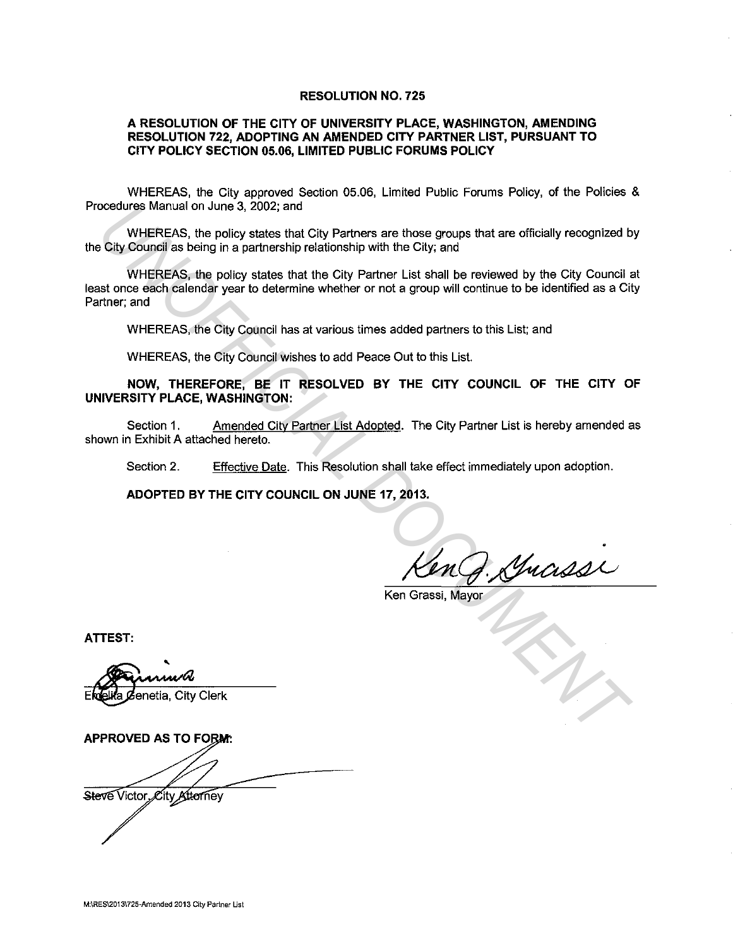## **RESOLUTION NO. 725**

## **A RESOLUTION OF THE CITY OF UNIVERSITY PLACE, WASHINGTON, AMENDING RESOLUTION 722, ADOPTING AN AMENDED CITY PARTNER LIST, PURSUANT TO CITY POLICY SECTION 05.06, LIMITED PUBLIC FORUMS POLICY**

WHEREAS, the City approved Section 05.06, Limited Public Forums Policy, of the Policies & Procedures Manual on June 3, 2002; and

WHEREAS, the policy states that City Partners are those groups that are officially recognized by the City Council as being in a partnership relationship with the City; and

WHEREAS, the policy states that the City Partner List shall be reviewed by the City Council at least once each calendar year to determine whether or not a group will continue to be identified as a City Partner; and coedures Manual on June 3, 2002; and<br>
UNIEREAS, the policy states that City Partners are those groups that are officially recognized b<br>
City Council as being in a partnership relationship with the City; and<br>
WHEREAS, the p

WHEREAS, the City Council has at various times added partners to this List; and

WHEREAS, the City Council wishes to add Peace Out to this List.

**NOW, THEREFORE, BE IT RESOLVED BY THE CITY COUNCIL OF THE CITY OF UNIVERSITY PLACE, WASHINGTON:** 

Section 1. Amended City Partner List Adopted. The City Partner List is hereby amended as shown in Exhibit A attached hereto.

Section 2. Effective Date. This Resolution shall take effect immediately upon adoption.

**ADOPTED BY THE CITY COUNCIL ON JUNE 17, 2013.** 

Ken Grassi, Mayor

**ATTEST:** 

Steve Victor Eity Attorney